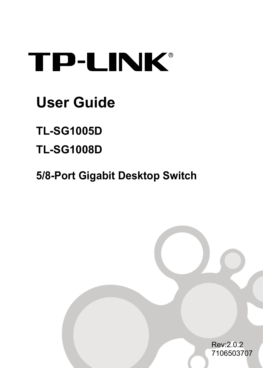## **TP-LINK®**

### **User Guide**

**TL-SG1005D** 

**TL-SG1008D** 

**5/8-Port Gigabit Desktop Switch**

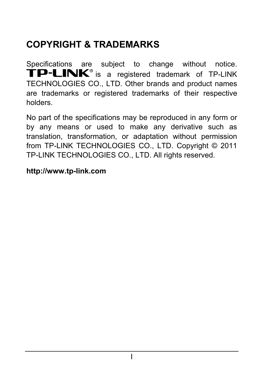#### **COPYRIGHT & TRADEMARKS**

Specifications are subject to change without notice. TP-LINK<sup>®</sup> is a registered trademark of TP-LINK TECHNOLOGIES CO., LTD. Other brands and product names are trademarks or registered trademarks of their respective holders.

No part of the specifications may be reproduced in any form or by any means or used to make any derivative such as translation, transformation, or adaptation without permission from TP-LINK TECHNOLOGIES CO., LTD. Copyright © 2011 TP-LINK TECHNOLOGIES CO., LTD. All rights reserved.

#### **http://www.tp-link.com**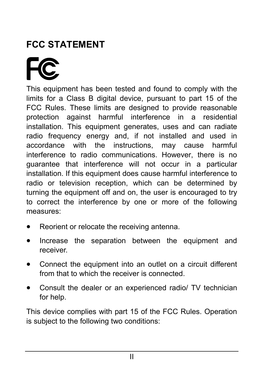### **FCC STATEMENT**

This equipment has been tested and found to comply with the limits for a Class B digital device, pursuant to part 15 of the FCC Rules. These limits are designed to provide reasonable protection against harmful interference in a residential installation. This equipment generates, uses and can radiate radio frequency energy and, if not installed and used in accordance with the instructions, may cause harmful interference to radio communications. However, there is no guarantee that interference will not occur in a particular installation. If this equipment does cause harmful interference to radio or television reception, which can be determined by turning the equipment off and on, the user is encouraged to try to correct the interference by one or more of the following measures:

- Reorient or relocate the receiving antenna.
- Increase the separation between the equipment and receiver.
- Connect the equipment into an outlet on a circuit different from that to which the receiver is connected.
- Consult the dealer or an experienced radio/ TV technician for help.

This device complies with part 15 of the FCC Rules. Operation is subject to the following two conditions: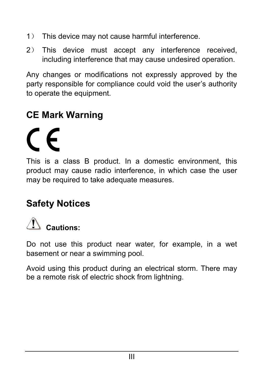- 1) This device may not cause harmful interference.
- 2) This device must accept any interference received, including interference that may cause undesired operation.

Any changes or modifications not expressly approved by the party responsible for compliance could void the user's authority to operate the equipment.

#### **CE Mark Warning**

# $\epsilon$

This is a class B product. In a domestic environment, this product may cause radio interference, in which case the user may be required to take adequate measures.

#### **Safety Notices**



Do not use this product near water, for example, in a wet basement or near a swimming pool.

Avoid using this product during an electrical storm. There may be a remote risk of electric shock from lightning.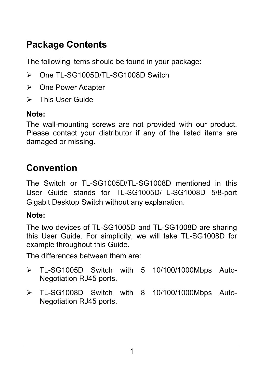#### **Package Contents**

The following items should be found in your package:

- ¾ One TL-SG1005D/TL-SG1008D Switch
- ¾ One Power Adapter
- $\triangleright$  This User Guide

#### **Note:**

The wall-mounting screws are not provided with our product. Please contact your distributor if any of the listed items are damaged or missing.

#### **Convention**

The Switch or TL-SG1005D/TL-SG1008D mentioned in this User Guide stands for TL-SG1005D/TL-SG1008D 5/8-port Gigabit Desktop Switch without any explanation.

#### **Note:**

The two devices of TL-SG1005D and TL-SG1008D are sharing this User Guide. For simplicity, we will take TL-SG1008D for example throughout this Guide.

The differences between them are:

- $\triangleright$  TL-SG1005D Switch with 5 10/100/1000Mbps Auto-Negotiation RJ45 ports.
- ¾ TL-SG1008D Switch with 8 10/100/1000Mbps Auto-Negotiation RJ45 ports.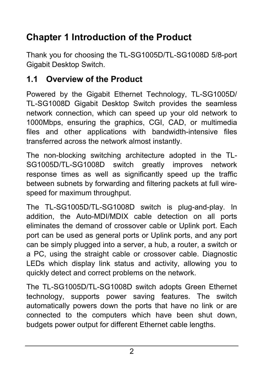#### **Chapter 1 Introduction of the Product**

Thank you for choosing the TL-SG1005D/TL-SG1008D 5/8-port Gigabit Desktop Switch.

#### **1.1 Overview of the Product**

Powered by the Gigabit Ethernet Technology, TL-SG1005D/ TL-SG1008D Gigabit Desktop Switch provides the seamless network connection, which can speed up your old network to 1000Mbps, ensuring the graphics, CGI, CAD, or multimedia files and other applications with bandwidth-intensive files transferred across the network almost instantly.

The non-blocking switching architecture adopted in the TL-SG1005D/TL-SG1008D switch greatly improves network response times as well as significantly speed up the traffic between subnets by forwarding and filtering packets at full wirespeed for maximum throughput.

The TL-SG1005D/TL-SG1008D switch is plug-and-play. In addition, the Auto-MDI/MDIX cable detection on all ports eliminates the demand of crossover cable or Uplink port. Each port can be used as general ports or Uplink ports, and any port can be simply plugged into a server, a hub, a router, a switch or a PC, using the straight cable or crossover cable. Diagnostic LEDs which display link status and activity, allowing you to quickly detect and correct problems on the network.

The TL-SG1005D/TL-SG1008D switch adopts Green Ethernet technology, supports power saving features. The switch automatically powers down the ports that have no link or are connected to the computers which have been shut down, budgets power output for different Ethernet cable lengths.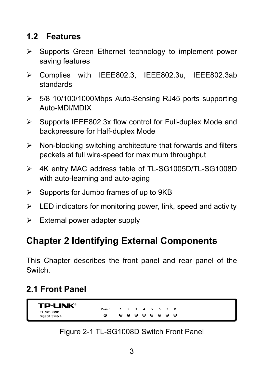#### **1.2 Features**

- $\triangleright$  Supports Green Ethernet technology to implement power saving features
- ¾ Complies with IEEE802.3, IEEE802.3u, IEEE802.3ab standards
- ¾ 5/8 10/100/1000Mbps Auto-Sensing RJ45 ports supporting Auto-MDI/MDIX
- $\triangleright$  Supports IEEE802.3x flow control for Full-duplex Mode and backpressure for Half-duplex Mode
- $\triangleright$  Non-blocking switching architecture that forwards and filters packets at full wire-speed for maximum throughput
- ¾ 4K entry MAC address table of TL-SG1005D/TL-SG1008D with auto-learning and auto-aging
- $\triangleright$  Supports for Jumbo frames of up to 9KB
- $\triangleright$  LED indicators for monitoring power, link, speed and activity
- $\triangleright$  External power adapter supply

#### **Chapter 2 Identifying External Components**

This Chapter describes the front panel and rear panel of the Switch.

#### **2.1 Front Panel**

TP-I INK® Power  $\overline{4}$ TL-SG1008D Ø . . . . . . **Gigabit Switch** 

#### Figure 2-1 TL-SG1008D Switch Front Panel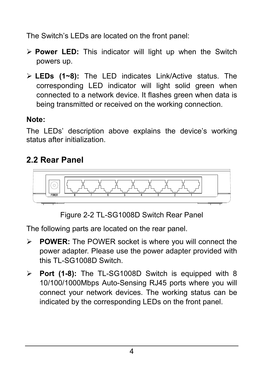The Switch's LEDs are located on the front panel:

- ¾ **Power LED:** This indicator will light up when the Switch powers up.
- ¾ **LEDs (1~8):** The LED indicates Link/Active status. The corresponding LED indicator will light solid green when connected to a network device. It flashes green when data is being transmitted or received on the working connection.

#### **Note:**

The LEDs' description above explains the device's working status after initialization.

#### **2.2 Rear Panel**



Figure 2-2 TL-SG1008D Switch Rear Panel

The following parts are located on the rear panel.

- ¾ **POWER:** The POWER socket is where you will connect the power adapter. Please use the power adapter provided with this TL-SG1008D Switch.
- ¾ **Port (1-8):** The TL-SG1008D Switch is equipped with 8 10/100/1000Mbps Auto-Sensing RJ45 ports where you will connect your network devices. The working status can be indicated by the corresponding LEDs on the front panel.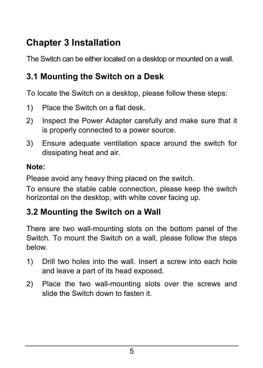#### **Chapter 3 Installation**

The Switch can be either located on a desktop or mounted on a wall.

#### **3.1 Mounting the Switch on a Desk**

To locate the Switch on a desktop, please follow these steps:

- 1) Place the Switch on a flat desk.
- 2) Inspect the Power Adapter carefully and make sure that it is properly connected to a power source.
- 3) Ensure adequate ventilation space around the switch for dissipating heat and air.

#### **Note:**

Please avoid any heavy thing placed on the switch.

To ensure the stable cable connection, please keep the switch horizontal on the desktop, with white cover facing up.

#### **3.2 Mounting the Switch on a Wall**

There are two wall-mounting slots on the bottom panel of the Switch. To mount the Switch on a wall, please follow the steps below.

- 1) Drill two holes into the wall. Insert a screw into each hole and leave a part of its head exposed.
- 2) Place the two wall-mounting slots over the screws and slide the Switch down to fasten it.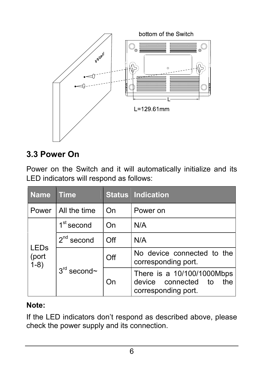

#### **3.3 Power On**

Power on the Switch and it will automatically initialize and its LED indicators will respond as follows:

| <b>Name</b>                   | <b>Time</b>   |     | <b>Status Indication</b>                                                           |
|-------------------------------|---------------|-----|------------------------------------------------------------------------------------|
| Power                         | All the time  | On  | Power on                                                                           |
| <b>LEDs</b><br>(port<br>$1-8$ | $1st$ second  | On  | N/A                                                                                |
|                               | $2nd$ second  | Off | N/A                                                                                |
|                               | $3rd$ second~ | Off | No device connected to the<br>corresponding port.                                  |
|                               |               | On  | There is a 10/100/1000Mbps<br>device connected<br>the<br>to<br>corresponding port. |

#### **Note:**

If the LED indicators don't respond as described above, please check the power supply and its connection.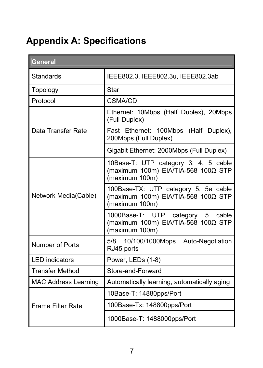#### **Appendix A: Specifications**

| General                     |                                                                                                            |  |  |
|-----------------------------|------------------------------------------------------------------------------------------------------------|--|--|
| Standards                   | IEEE802.3, IEEE802.3u, IEEE802.3ab                                                                         |  |  |
| Topology                    | Star                                                                                                       |  |  |
| Protocol                    | CSMA/CD                                                                                                    |  |  |
|                             | Ethernet: 10Mbps (Half Duplex), 20Mbps<br>(Full Duplex)                                                    |  |  |
| Data Transfer Rate          | Fast Ethernet: 100Mbps (Half Duplex),<br>200Mbps (Full Duplex)                                             |  |  |
|                             | Gigabit Ethernet: 2000Mbps (Full Duplex)                                                                   |  |  |
|                             | 10Base-T: UTP category 3, 4, 5 cable<br>(maximum 100m) EIA/TIA-568 100Ω STP<br>(maximum 100m)              |  |  |
| Network Media(Cable)        | 100Base-TX: UTP category 5, 5e cable<br>(maximum 100m) EIA/TIA-568 100 $\Omega$ STP<br>(maximum 100m)      |  |  |
|                             | 1000Base-T: UTP<br>category<br>5<br>cable<br>(maximum 100m) EIA/TIA-568 100 $\Omega$ STP<br>(maximum 100m) |  |  |
| Number of Ports             | 5/8 10/100/1000Mbps Auto-Negotiation<br>RJ45 ports                                                         |  |  |
| <b>I FD indicators</b>      | Power, LEDs (1-8)                                                                                          |  |  |
| <b>Transfer Method</b>      | Store-and-Forward                                                                                          |  |  |
| <b>MAC Address Learning</b> | Automatically learning, automatically aging                                                                |  |  |
|                             | 10Base-T: 14880pps/Port                                                                                    |  |  |
| Frame Filter Rate           | 100Base-Tx: 148800pps/Port                                                                                 |  |  |
|                             | 1000Base-T: 1488000pps/Port                                                                                |  |  |